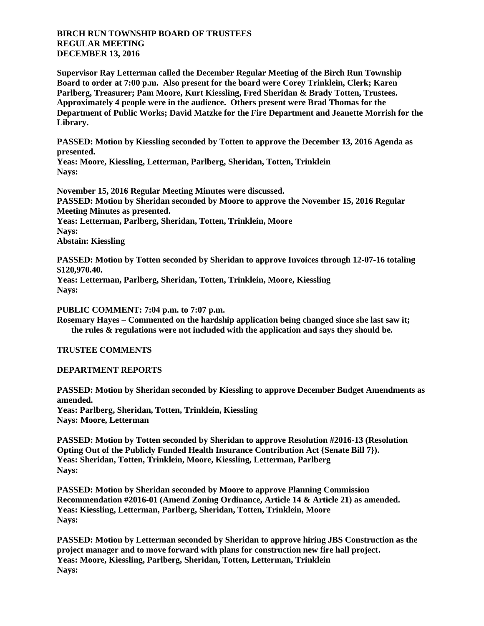## **BIRCH RUN TOWNSHIP BOARD OF TRUSTEES REGULAR MEETING DECEMBER 13, 2016**

**Supervisor Ray Letterman called the December Regular Meeting of the Birch Run Township Board to order at 7:00 p.m. Also present for the board were Corey Trinklein, Clerk; Karen Parlberg, Treasurer; Pam Moore, Kurt Kiessling, Fred Sheridan & Brady Totten, Trustees. Approximately 4 people were in the audience. Others present were Brad Thomas for the Department of Public Works; David Matzke for the Fire Department and Jeanette Morrish for the Library.**

**PASSED: Motion by Kiessling seconded by Totten to approve the December 13, 2016 Agenda as presented.**

**Yeas: Moore, Kiessling, Letterman, Parlberg, Sheridan, Totten, Trinklein Nays:** 

**November 15, 2016 Regular Meeting Minutes were discussed. PASSED: Motion by Sheridan seconded by Moore to approve the November 15, 2016 Regular Meeting Minutes as presented. Yeas: Letterman, Parlberg, Sheridan, Totten, Trinklein, Moore Nays: Abstain: Kiessling**

**PASSED: Motion by Totten seconded by Sheridan to approve Invoices through 12-07-16 totaling \$120,970.40.**

**Yeas: Letterman, Parlberg, Sheridan, Totten, Trinklein, Moore, Kiessling Nays:** 

**PUBLIC COMMENT: 7:04 p.m. to 7:07 p.m.**

**Rosemary Hayes – Commented on the hardship application being changed since she last saw it; the rules & regulations were not included with the application and says they should be.**

**TRUSTEE COMMENTS**

**DEPARTMENT REPORTS**

**PASSED: Motion by Sheridan seconded by Kiessling to approve December Budget Amendments as amended. Yeas: Parlberg, Sheridan, Totten, Trinklein, Kiessling Nays: Moore, Letterman**

**PASSED: Motion by Totten seconded by Sheridan to approve Resolution #2016-13 (Resolution Opting Out of the Publicly Funded Health Insurance Contribution Act {Senate Bill 7}). Yeas: Sheridan, Totten, Trinklein, Moore, Kiessling, Letterman, Parlberg Nays:** 

**PASSED: Motion by Sheridan seconded by Moore to approve Planning Commission Recommendation #2016-01 (Amend Zoning Ordinance, Article 14 & Article 21) as amended. Yeas: Kiessling, Letterman, Parlberg, Sheridan, Totten, Trinklein, Moore Nays:** 

**PASSED: Motion by Letterman seconded by Sheridan to approve hiring JBS Construction as the project manager and to move forward with plans for construction new fire hall project. Yeas: Moore, Kiessling, Parlberg, Sheridan, Totten, Letterman, Trinklein Nays:**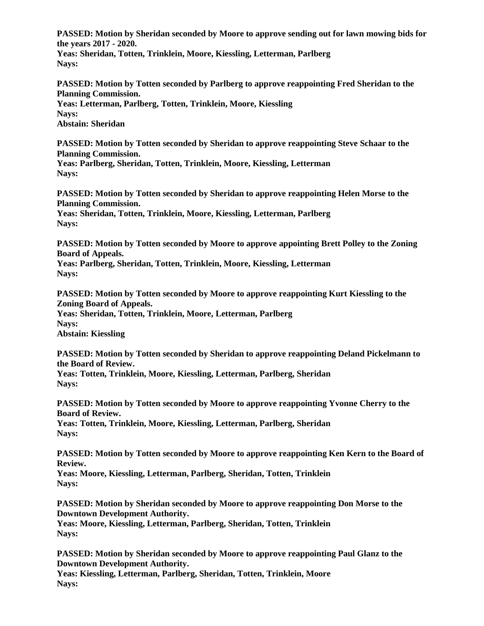**PASSED: Motion by Sheridan seconded by Moore to approve sending out for lawn mowing bids for the years 2017 - 2020.**

**Yeas: Sheridan, Totten, Trinklein, Moore, Kiessling, Letterman, Parlberg Nays:** 

**PASSED: Motion by Totten seconded by Parlberg to approve reappointing Fred Sheridan to the Planning Commission. Yeas: Letterman, Parlberg, Totten, Trinklein, Moore, Kiessling Nays:** 

**Abstain: Sheridan**

**PASSED: Motion by Totten seconded by Sheridan to approve reappointing Steve Schaar to the Planning Commission.**

**Yeas: Parlberg, Sheridan, Totten, Trinklein, Moore, Kiessling, Letterman Nays:** 

**PASSED: Motion by Totten seconded by Sheridan to approve reappointing Helen Morse to the Planning Commission. Yeas: Sheridan, Totten, Trinklein, Moore, Kiessling, Letterman, Parlberg Nays:** 

**PASSED: Motion by Totten seconded by Moore to approve appointing Brett Polley to the Zoning Board of Appeals.**

**Yeas: Parlberg, Sheridan, Totten, Trinklein, Moore, Kiessling, Letterman Nays:** 

**PASSED: Motion by Totten seconded by Moore to approve reappointing Kurt Kiessling to the Zoning Board of Appeals. Yeas: Sheridan, Totten, Trinklein, Moore, Letterman, Parlberg Nays: Abstain: Kiessling**

**PASSED: Motion by Totten seconded by Sheridan to approve reappointing Deland Pickelmann to the Board of Review.**

**Yeas: Totten, Trinklein, Moore, Kiessling, Letterman, Parlberg, Sheridan Nays:** 

**PASSED: Motion by Totten seconded by Moore to approve reappointing Yvonne Cherry to the Board of Review. Yeas: Totten, Trinklein, Moore, Kiessling, Letterman, Parlberg, Sheridan**

**Nays:** 

**PASSED: Motion by Totten seconded by Moore to approve reappointing Ken Kern to the Board of Review.**

**Yeas: Moore, Kiessling, Letterman, Parlberg, Sheridan, Totten, Trinklein Nays:** 

**PASSED: Motion by Sheridan seconded by Moore to approve reappointing Don Morse to the Downtown Development Authority.**

**Yeas: Moore, Kiessling, Letterman, Parlberg, Sheridan, Totten, Trinklein Nays:** 

**PASSED: Motion by Sheridan seconded by Moore to approve reappointing Paul Glanz to the Downtown Development Authority.**

**Yeas: Kiessling, Letterman, Parlberg, Sheridan, Totten, Trinklein, Moore Nays:**